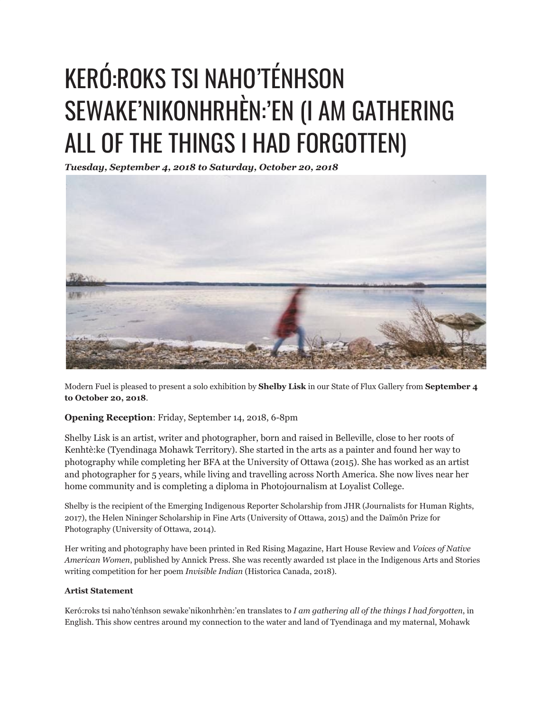## KERÓ:ROKS TSI NAHO'TÉNHSON SEWAKE'NIKONHRHÈN: 'EN (I AM GATHERING ALL OF THE THINGS I HAD FORGOTTEN)

*Tuesday, September 4, 2018 to Saturday, October 20, 2018*



Modern Fuel is pleased to present a solo exhibition by **Shelby Lisk** in our State of Flux Gallery from **September 4 to October 20, 2018**.

## **Opening Reception**: Friday, September 14, 2018, 6-8pm

Shelby Lisk is an artist, writer and photographer, born and raised in Belleville, close to her roots of Kenhtè:ke (Tyendinaga Mohawk Territory). She started in the arts as a painter and found her way to photography while completing her BFA at the University of Ottawa (2015). She has worked as an artist and photographer for 5 years, while living and travelling across North America. She now lives near her home community and is completing a diploma in Photojournalism at Loyalist College.

Shelby is the recipient of the Emerging Indigenous Reporter Scholarship from JHR (Journalists for Human Rights, 2017), the Helen Nininger Scholarship in Fine Arts (University of Ottawa, 2015) and the Daïmôn Prize for Photography (University of Ottawa, 2014).

Her writing and photography have been printed in Red Rising Magazine, Hart House Review and *Voices of Native American Women*, published by Annick Press. She was recently awarded 1st place in the Indigenous Arts and Stories writing competition for her poem *Invisible Indian* (Historica Canada, 2018).

## **Artist Statement**

Keró:roks tsi naho'ténhson sewake'nikonhrhèn:'en translates to *I am gathering all of the things I had forgotten*, in English. This show centres around my connection to the water and land of Tyendinaga and my maternal, Mohawk